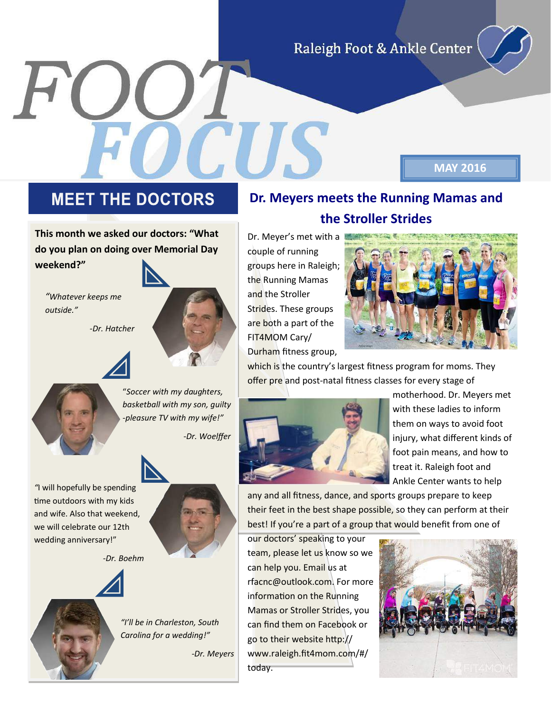Raleigh Foot & Ankle Center

## **MEET THE DOCTORS**

**This month we asked our doctors: "What do you plan on doing over Memorial Day weekend?"**

*"Whatever keeps me outside."*

 *-Dr. Hatcher*



"*Soccer with my daughters, basketball with my son, guilty -pleasure TV with my wife!"*

 *-Dr. Woelffer*



*"*I will hopefully be spending time outdoors with my kids and wife. Also that weekend, we will celebrate our 12th wedding anniversary!"

 *-Dr. Boehm*



*"I'll be in Charleston, South Carolina for a wedding!"* 

 *-Dr. Meyers*

## **Dr. Meyers meets the Running Mamas and the Stroller Strides**

Dr. Meyer's met with a couple of running groups here in Raleigh; the Running Mamas and the Stroller Strides. These groups are both a part of the FIT4MOM Cary/ Durham fitness group,



**MAY 2016**

which is the country's largest fitness program for moms. They offer pre and post-natal fitness classes for every stage of



motherhood. Dr. Meyers met with these ladies to inform them on ways to avoid foot injury, what different kinds of foot pain means, and how to treat it. Raleigh foot and Ankle Center wants to help

any and all fitness, dance, and sports groups prepare to keep their feet in the best shape possible, so they can perform at their best! If you're a part of a group that would benefit from one of

our doctors' speaking to your team, please let us know so we can help you. Email us at rfacnc@outlook.com. For more information on the Running Mamas or Stroller Strides, you can find them on Facebook or go to their website http:// www.raleigh.fit4mom.com/#/ today.

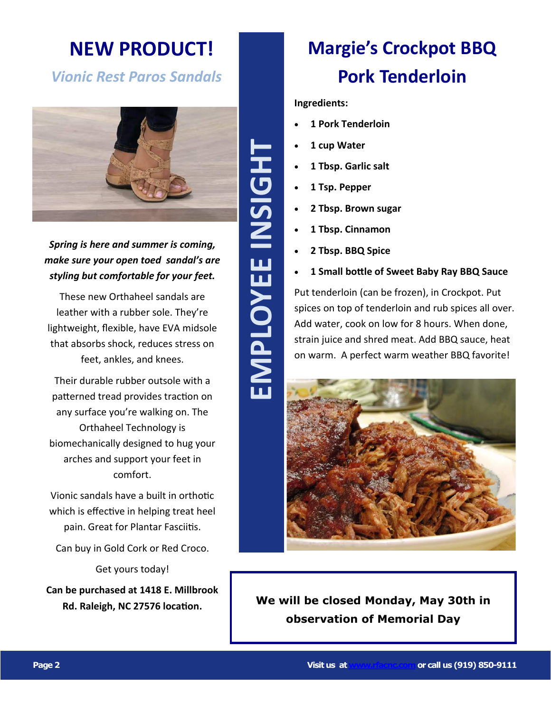# **NEW PRODUCT!**

## *Vionic Rest Paros Sandals*



#### *Spring is here and summer is coming, make sure your open toed sandal's are styling but comfortable for your feet.*

These new Orthaheel sandals are leather with a rubber sole. They're lightweight, flexible, have EVA midsole that absorbs shock, reduces stress on feet, ankles, and knees.

Their durable rubber outsole with a patterned tread provides traction on any surface you're walking on. The Orthaheel Technology is biomechanically designed to hug your arches and support your feet in comfort.

Vionic sandals have a built in orthotic which is effective in helping treat heel pain. Great for Plantar Fasciitis.

Can buy in Gold Cork or Red Croco.

Get yours today!

**Can be purchased at 1418 E. Millbrook Rd. Raleigh, NC 27576 location.**

# **EMPLOYEE INSIGHT** EMPLOYEE INSIGH

# **Margie's Crockpot BBQ Pork Tenderloin**

#### **Ingredients:**

- **1 Pork Tenderloin**
- **1 cup Water**
- **1 Tbsp. Garlic salt**
- **1 Tsp. Pepper**
- **2 Tbsp. Brown sugar**
- **1 Tbsp. Cinnamon**
- **2 Tbsp. BBQ Spice**
- **1 Small bottle of Sweet Baby Ray BBQ Sauce**

Put tenderloin (can be frozen), in Crockpot. Put spices on top of tenderloin and rub spices all over. Add water, cook on low for 8 hours. When done, strain juice and shred meat. Add BBQ sauce, heat on warm. A perfect warm weather BBQ favorite!



**We will be closed Monday, May 30th in observation of Memorial Day**

**Page 2 Visit us at [www.rfacnc.com](http://www.rfacnc.com)or call us (919) 850 -9111**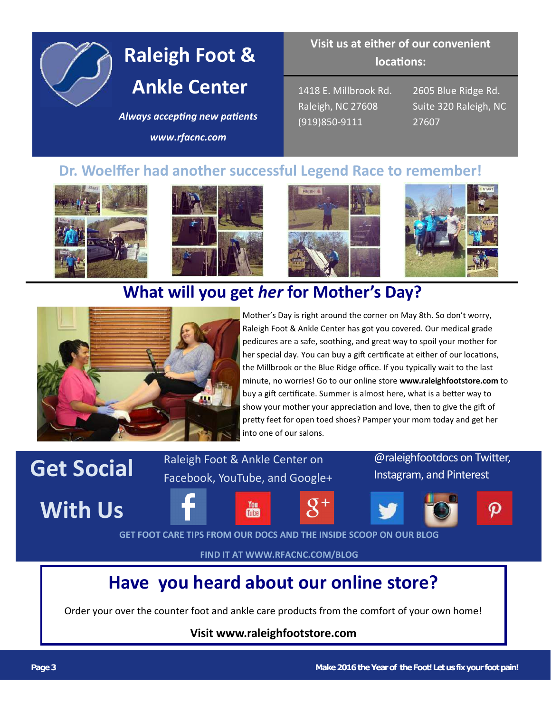

# **Raleigh Foot & Ankle Center**

#### *Always accepting new patients*

*www.rfacnc.com*

### **Visit us at either of our convenient locations:**

1418 E. Millbrook Rd. Raleigh, NC 27608 (919)850-9111

2605 Blue Ridge Rd. Suite 320 Raleigh, NC 27607

## **Dr. Woelffer had another successful Legend Race to remember!**









# **What will you get** *her* **for Mother's Day?**



Mother's Day is right around the corner on May 8th. So don't worry, Raleigh Foot & Ankle Center has got you covered. Our medical grade pedicures are a safe, soothing, and great way to spoil your mother for her special day. You can buy a gift certificate at either of our locations, the Millbrook or the Blue Ridge office. If you typically wait to the last minute, no worries! Go to our online store **www.raleighfootstore.com** to buy a gift certificate. Summer is almost here, what is a better way to show your mother your appreciation and love, then to give the gift of pretty feet for open toed shoes? Pamper your mom today and get her into one of our salons.

# **Get Social** Raleigh Foot & Ankle Center on *Caleighfootdocs on Twitter,*<br>Facebook, YouTube, and Google+ Instagram, and Pinterest

**With Us**









**GET FOOT CARE TIPS FROM OUR DOCS AND THE INSIDE SCOOP ON OUR BLOG**

Facebook, YouTube, and Google+

You

**FIND IT AT WWW.RFACNC.COM/BLOG**

# **Have you heard about our online store?**

Order your over the counter foot and ankle care products from the comfort of your own home!

#### **Visit www.raleighfootstore.com**